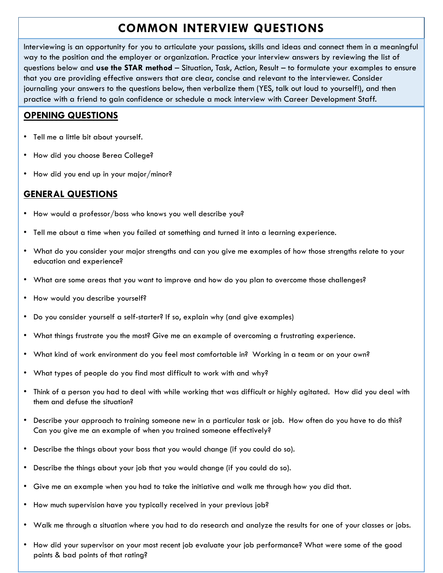# **COMMON INTERVIEW QUESTIONS**

Interviewing is an opportunity for you to articulate your passions, skills and ideas and connect them in a meaningful way to the position and the employer or organization. Practice your interview answers by reviewing the list of questions below and **use the STAR method** – Situation, Task, Action, Result – to formulate your examples to ensure that you are providing effective answers that are clear, concise and relevant to the interviewer. Consider journaling your answers to the questions below, then verbalize them (YES, talk out loud to yourself!), and then practice with a friend to gain confidence or schedule a mock interview with Career Development Staff.

# **OPENING QUESTIONS**

- Tell me a little bit about yourself.
- How did you choose Berea College?
- How did you end up in your major/minor?

# **GENERAL QUESTIONS**

- How would a professor/boss who knows you well describe you?
- Tell me about a time when you failed at something and turned it into a learning experience.
- What do you consider your major strengths and can you give me examples of how those strengths relate to your education and experience?
- What are some areas that you want to improve and how do you plan to overcome those challenges?
- How would you describe yourself?
- Do you consider yourself a self-starter? If so, explain why (and give examples)
- What things frustrate you the most? Give me an example of overcoming a frustrating experience.
- What kind of work environment do you feel most comfortable in? Working in a team or on your own?
- What types of people do you find most difficult to work with and why?
- Think of a person you had to deal with while working that was difficult or highly agitated. How did you deal with them and defuse the situation?
- Describe your approach to training someone new in a particular task or job. How often do you have to do this? Can you give me an example of when you trained someone effectively?
- Describe the things about your boss that you would change (if you could do so).
- Describe the things about your job that you would change (if you could do so).
- Give me an example when you had to take the initiative and walk me through how you did that.
- How much supervision have you typically received in your previous job?
- Walk me through a situation where you had to do research and analyze the results for one of your classes or jobs.
- How did your supervisor on your most recent job evaluate your job performance? What were some of the good points & bad points of that rating?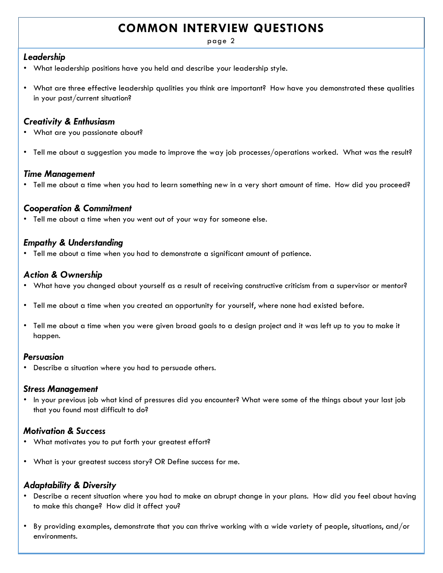# **COMMON INTERVIEW QUESTIONS**

page 2

#### *Leadership*

- What leadership positions have you held and describe your leadership style.
- What are three effective leadership qualities you think are important? How have you demonstrated these qualities in your past/current situation?

#### *Creativity & Enthusiasm*

- What are you passionate about?
- Tell me about a suggestion you made to improve the way job processes/operations worked. What was the result?

### *Time Management*

• Tell me about a time when you had to learn something new in a very short amount of time. How did you proceed?

## *Cooperation & Commitment*

• Tell me about a time when you went out of your way for someone else.

## *Empathy & Understanding*

• Tell me about a time when you had to demonstrate a significant amount of patience.

## *Action & Ownership*

- What have you changed about yourself as a result of receiving constructive criticism from a supervisor or mentor?
- Tell me about a time when you created an opportunity for yourself, where none had existed before.
- Tell me about a time when you were given broad goals to a design project and it was left up to you to make it happen.

#### *Persuasion*

• Describe a situation where you had to persuade others.

#### *Stress Management*

• In your previous job what kind of pressures did you encounter? What were some of the things about your last job that you found most difficult to do?

## *Motivation & Success*

- What motivates you to put forth your greatest effort?
- What is your greatest success story? OR Define success for me.

## *Adaptability & Diversity*

- Describe a recent situation where you had to make an abrupt change in your plans. How did you feel about having to make this change? How did it affect you?
- By providing examples, demonstrate that you can thrive working with a wide variety of people, situations, and/or environments.